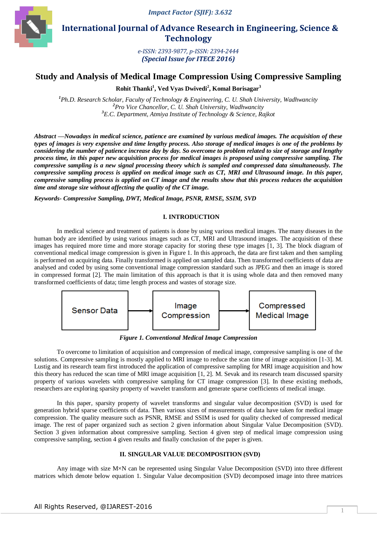*Impact Factor (SJIF): 3.632*



 **International Journal of Advance Research in Engineering, Science & Technology** 

> *e-ISSN: 2393-9877, p-ISSN: 2394-2444 (Special Issue for ITECE 2016)*

# **Study and Analysis of Medical Image Compression Using Compressive Sampling**

**Rohit Thanki<sup>1</sup> , Ved Vyas Dwivedi<sup>2</sup> , Komal Borisagar<sup>3</sup>**

*<sup>1</sup>Ph.D. Research Scholar, Faculty of Technology & Engineering, C. U. Shah University, Wadhwancity <sup>2</sup>Pro Vice Chancellor, C. U. Shah University, Wadhwancity <sup>3</sup>E.C. Department, Atmiya Institute of Technology & Science, Rajkot*

*Abstract* **—***Nowadays in medical science, patience are examined by various medical images. The acquisition of these types of images is very expensive and time lengthy process. Also storage of medical images is one of the problems by considering the number of patience increase day by day. So overcome to problem related to size of storage and lengthy process time, in this paper new acquisition process for medical images is proposed using compressive sampling. The compressive sampling is a new signal processing theory which is sampled and compressed data simultaneously. The compressive sampling process is applied on medical image such as CT, MRI and Ultrasound image. In this paper, compressive sampling process is applied on CT image and the results show that this process reduces the acquisition time and storage size without affecting the quality of the CT image.*

*Keywords- Compressive Sampling, DWT, Medical Image, PSNR, RMSE, SSIM, SVD*

## **I. INTRODUCTION**

In medical science and treatment of patients is done by using various medical images. The many diseases in the human body are identified by using various images such as CT, MRI and Ultrasound images. The acquisition of these images has required more time and more storage capacity for storing these type images [1, 3]. The block diagram of conventional medical image compression is given in Figure 1. In this approach, the data are first taken and then sampling is performed on acquiring data. Finally transformed is applied on sampled data. Then transformed coefficients of data are analysed and coded by using some conventional image compression standard such as JPEG and then an image is stored in compressed format [2]. The main limitation of this approach is that it is using whole data and then removed many transformed coefficients of data; time length process and wastes of storage size.



*Figure 1. Conventional Medical Image Compression*

To overcome to limitation of acquisition and compression of medical image, compressive sampling is one of the solutions. Compressive sampling is mostly applied to MRI image to reduce the scan time of image acquisition [1-3]. M. Lustig and its research team first introduced the application of compressive sampling for MRI image acquisition and how this theory has reduced the scan time of MRI image acquisition [1, 2]. M. Sevak and its research team discussed sparsity property of various wavelets with compressive sampling for CT image compression [3]. In these existing methods, researchers are exploring sparsity property of wavelet transform and generate sparse coefficients of medical image.

In this paper, sparsity property of wavelet transforms and singular value decomposition (SVD) is used for generation hybrid sparse coefficients of data. Then various sizes of measurements of data have taken for medical image compression. The quality measure such as PSNR, RMSE and SSIM is used for quality checked of compressed medical image. The rest of paper organized such as section 2 given information about Singular Value Decomposition (SVD). Section 3 given information about compressive sampling. Section 4 given step of medical image compression using compressive sampling, section 4 given results and finally conclusion of the paper is given.

# **II. SINGULAR VALUE DECOMPOSITION (SVD)**

Any image with size M×N can be represented using Singular Value Decomposition (SVD) into three different matrices which denote below equation 1. Singular Value decomposition (SVD) decomposed image into three matrices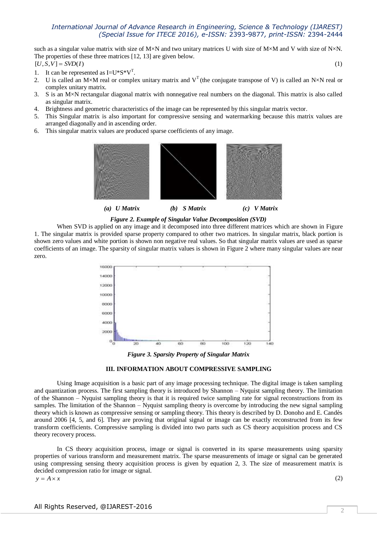such as a singular value matrix with size of M×N and two unitary matrices U with size of M×M and V with size of N×N. The properties of these three matrices [12, 13] are given below.  $[U, S, V] = SVD(I)$  (1)

- 1. It can be represented as  $I=U^*S^*V^T$ .
- 2. U is called an M×M real or complex unitary matrix and  $V^T$  (the conjugate transpose of V) is called an N×N real or complex unitary matrix.
- 3. S is an M×N rectangular diagonal matrix with nonnegative real numbers on the diagonal. This matrix is also called as singular matrix.
- 4. Brightness and geometric characteristics of the image can be represented by this singular matrix vector.
- 5. This Singular matrix is also important for compressive sensing and watermarking because this matrix values are arranged diagonally and in ascending order.
- 6. This singular matrix values are produced sparse coefficients of any image.



*Figure 2. Example of Singular Value Decomposition (SVD)*

When SVD is applied on any image and it decomposed into three different matrices which are shown in Figure 1. The singular matrix is provided sparse property compared to other two matrices. In singular matrix, black portion is shown zero values and white portion is shown non negative real values. So that singular matrix values are used as sparse coefficients of an image. The sparsity of singular matrix values is shown in Figure 2 where many singular values are near zero.



*Figure 3. Sparsity Property of Singular Matrix*



Using Image acquisition is a basic part of any image processing technique. The digital image is taken sampling and quantization process. The first sampling theory is introduced by Shannon – Nyquist sampling theory. The limitation of the Shannon – Nyquist sampling theory is that it is required twice sampling rate for signal reconstructions from its samples. The limitation of the Shannon – Nyquist sampling theory is overcome by introducing the new signal sampling theory which is known as compressive sensing or sampling theory. This theory is described by D. Donoho and E. Candès around 2006 [4, 5, and 6]. They are proving that original signal or image can be exactly reconstructed from its few transform coefficients. Compressive sampling is divided into two parts such as CS theory acquisition process and CS theory recovery process.

In CS theory acquisition process, image or signal is converted in its sparse measurements using sparsity properties of various transform and measurement matrix. The sparse measurements of image or signal can be generated using compressing sensing theory acquisition process is given by equation 2, 3. The size of measurement matrix is decided compression ratio for image or signal.

 $y = A \times x$  (2)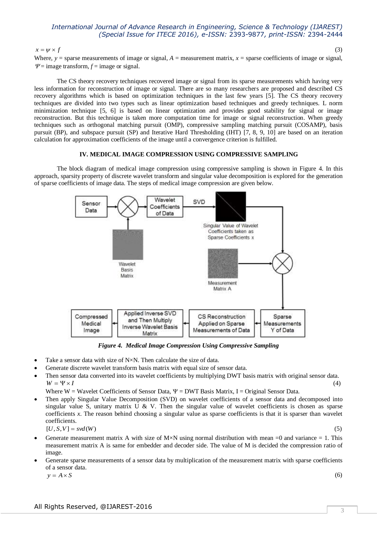$x = \psi \times f$  (3)

Where,  $y =$  sparse measurements of image or signal,  $A =$  measurement matrix,  $x =$  sparse coefficients of image or signal,  $\Psi$  = image transform,  $f$  = image or signal.

The CS theory recovery techniques recovered image or signal from its sparse measurements which having very less information for reconstruction of image or signal. There are so many researchers are proposed and described CS recovery algorithms which is based on optimization techniques in the last few years [5]. The CS theory recovery techniques are divided into two types such as linear optimization based techniques and greedy techniques. L norm minimization technique [5, 6] is based on linear optimization and provides good stability for signal or image reconstruction. But this technique is taken more computation time for image or signal reconstruction. When greedy techniques such as orthogonal matching pursuit (OMP), compressive sampling matching pursuit (COSAMP), basis pursuit (BP), and subspace pursuit (SP) and Iterative Hard Thresholding (IHT) [7, 8, 9, 10] are based on an iteration calculation for approximation coefficients of the image until a convergence criterion is fulfilled.

#### **IV. MEDICAL IMAGE COMPRESSION USING COMPRESSIVE SAMPLING**

The block diagram of medical image compression using compressive sampling is shown in Figure 4. In this approach, sparsity property of discrete wavelet transform and singular value decomposition is explored for the generation of sparse coefficients of image data. The steps of medical image compression are given below.



*Figure 4. Medical Image Compression Using Compressive Sampling*

- Take a sensor data with size of N×N. Then calculate the size of data.
- Generate discrete wavelet transform basis matrix with equal size of sensor data.
- Then sensor data converted into its wavelet coefficients by multiplying DWT basis matrix with original sensor data.  $W = \Psi \times I$  (4)

Where W = Wavelet Coefficients of Sensor Data,  $\Psi$  = DWT Basis Matrix, I = Original Sensor Data.

 Then apply Singular Value Decomposition (SVD) on wavelet coefficients of a sensor data and decomposed into singular value S, unitary matrix U & V. Then the singular value of wavelet coefficients is chosen as sparse coefficients *x*. The reason behind choosing a singular value as sparse coefficients is that it is sparser than wavelet coefficients.

$$
[U, S, V] = svd(W) \tag{5}
$$

- Generate measurement matrix A with size of  $M \times N$  using normal distribution with mean =0 and variance = 1. This measurement matrix A is same for embedder and decoder side. The value of M is decided the compression ratio of image.
- Generate sparse measurements of a sensor data by multiplication of the measurement matrix with sparse coefficients of a sensor data.

 $y = A \times S$  (6)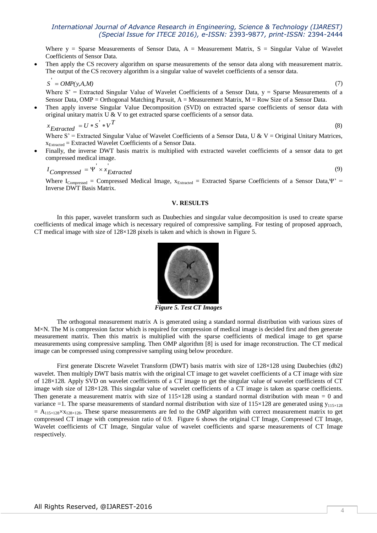Where  $y =$  Sparse Measurements of Sensor Data,  $A =$  Measurement Matrix,  $S =$  Singular Value of Wavelet Coefficients of Sensor Data.

 Then apply the CS recovery algorithm on sparse measurements of the sensor data along with measurement matrix. The output of the CS recovery algorithm is a singular value of wavelet coefficients of a sensor data.

$$
S' = OMP(y, A, M) \tag{7}
$$

Where  $S' =$  Extracted Singular Value of Wavelet Coefficients of a Sensor Data,  $y =$  Sparse Measurements of a Sensor Data, OMP = Orthogonal Matching Pursuit, A = Measurement Matrix, M = Row Size of a Sensor Data.

 Then apply inverse Singular Value Decomposition (SVD) on extracted sparse coefficients of sensor data with original unitary matrix U & V to get extracted sparse coefficients of a sensor data.

$$
x_{Extracted} = U * S' * V^{T}
$$
\n(8)

Where S' = Extracted Singular Value of Wavelet Coefficients of a Sensor Data, U & V = Original Unitary Matrices,  $x_{Extracted} = Extracted Wavelet Coefficients of a Sensor Data.$ 

 Finally, the inverse DWT basis matrix is multiplied with extracted wavelet coefficients of a sensor data to get compressed medical image.

$$
I_{Compressed} = \Psi^{\prime} \times x_{Extracted} \tag{9}
$$

Where  $I_{Compressed}$  = Compressed Medical Image,  $x_{Extracted}$  = Extracted Sparse Coefficients of a Sensor Data,  $Y'$  = Inverse DWT Basis Matrix.

### **V. RESULTS**

In this paper, wavelet transform such as Daubechies and singular value decomposition is used to create sparse coefficients of medical image which is necessary required of compressive sampling. For testing of proposed approach, CT medical image with size of 128×128 pixels is taken and which is shown in Figure 5.



*Figure 5. Test CT Images*

The orthogonal measurement matrix A is generated using a standard normal distribution with various sizes of M×N. The M is compression factor which is required for compression of medical image is decided first and then generate measurement matrix. Then this matrix is multiplied with the sparse coefficients of medical image to get sparse measurements using compressive sampling. Then OMP algorithm [8] is used for image reconstruction. The CT medical image can be compressed using compressive sampling using below procedure.

First generate Discrete Wavelet Transform (DWT) basis matrix with size of 128×128 using Daubechies (db2) wavelet. Then multiply DWT basis matrix with the original CT image to get wavelet coefficients of a CT image with size of 128×128. Apply SVD on wavelet coefficients of a CT image to get the singular value of wavelet coefficients of CT image with size of 128×128. This singular value of wavelet coefficients of a CT image is taken as sparse coefficients. Then generate a measurement matrix with size of  $115\times128$  using a standard normal distribution with mean = 0 and variance =1. The sparse measurements of standard normal distribution with size of  $115\times128$  are generated using  $y_{115\times128}$  $= A_{115\times128}\times x_{128\times128}$ . These sparse measurements are fed to the OMP algorithm with correct measurement matrix to get compressed CT image with compression ratio of 0.9. Figure 6 shows the original CT Image, Compressed CT Image, Wavelet coefficients of CT Image, Singular value of wavelet coefficients and sparse measurements of CT Image respectively.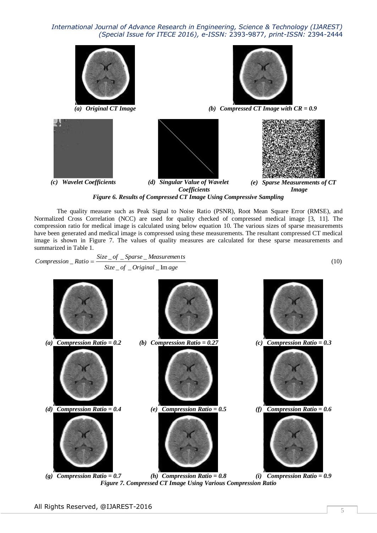

*Figure 6. Results of Compressed CT Image Using Compressive Sampling*

The quality measure such as Peak Signal to Noise Ratio (PSNR), Root Mean Square Error (RMSE), and Normalized Cross Correlation (NCC) are used for quality checked of compressed medical image [3, 11]. The compression ratio for medical image is calculated using below equation 10. The various sizes of sparse measurements have been generated and medical image is compressed using these measurements. The resultant compressed CT medical image is shown in Figure 7. The values of quality measures are calculated for these sparse measurements and summarized in Table 1.

*Compression* \_ *Ratio* = 
$$
\frac{Size\_of\_Sparse\_Measurements}{Size\_of\_Original\_Image}
$$
 (10)



*(g) Compression Ratio = 0.7 (h) Compression Ratio = 0.8 (i) Compression Ratio = 0.9 Figure 7. Compressed CT Image Using Various Compression Ratio*